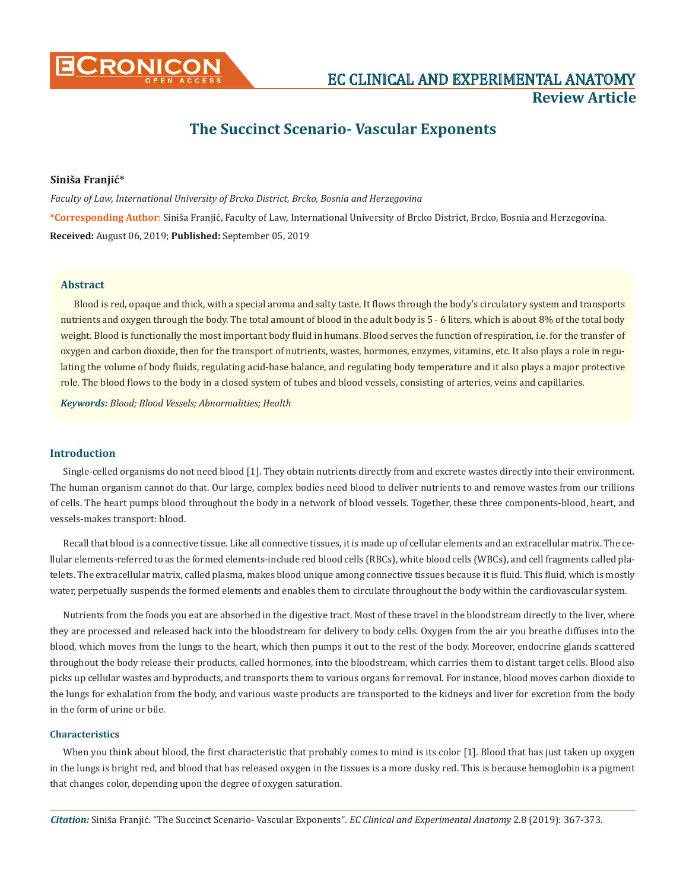

**Review Article**

# **The Succinct Scenario- Vascular Exponents**

## **Siniša Franjić\***

*Faculty of Law, International University of Brcko District, Brcko, Bosnia and Herzegovina* **\*Corresponding Author**: Siniša Franjić, Faculty of Law, International University of Brcko District, Brcko, Bosnia and Herzegovina. **Received:** August 06, 2019; **Published:** September 05, 2019

#### **Abstract**

Blood is red, opaque and thick, with a special aroma and salty taste. It flows through the body's circulatory system and transports nutrients and oxygen through the body. The total amount of blood in the adult body is 5 - 6 liters, which is about 8% of the total body weight. Blood is functionally the most important body fluid in humans. Blood serves the function of respiration, i.e. for the transfer of oxygen and carbon dioxide, then for the transport of nutrients, wastes, hormones, enzymes, vitamins, etc. It also plays a role in regulating the volume of body fluids, regulating acid-base balance, and regulating body temperature and it also plays a major protective role. The blood flows to the body in a closed system of tubes and blood vessels, consisting of arteries, veins and capillaries.

*Keywords: Blood; Blood Vessels; Abnormalities; Health*

## **Introduction**

Single-celled organisms do not need blood [1]. They obtain nutrients directly from and excrete wastes directly into their environment. The human organism cannot do that. Our large, complex bodies need blood to deliver nutrients to and remove wastes from our trillions of cells. The heart pumps blood throughout the body in a network of blood vessels. Together, these three components-blood, heart, and vessels-makes transport: blood.

Recall that blood is a connective tissue. Like all connective tissues, it is made up of cellular elements and an extracellular matrix. The cellular elements-referred to as the formed elements-include red blood cells (RBCs), white blood cells (WBCs), and cell fragments called platelets. The extracellular matrix, called plasma, makes blood unique among connective tissues because it is fluid. This fluid, which is mostly water, perpetually suspends the formed elements and enables them to circulate throughout the body within the cardiovascular system.

Nutrients from the foods you eat are absorbed in the digestive tract. Most of these travel in the bloodstream directly to the liver, where they are processed and released back into the bloodstream for delivery to body cells. Oxygen from the air you breathe diffuses into the blood, which moves from the lungs to the heart, which then pumps it out to the rest of the body. Moreover, endocrine glands scattered throughout the body release their products, called hormones, into the bloodstream, which carries them to distant target cells. Blood also picks up cellular wastes and byproducts, and transports them to various organs for removal. For instance, blood moves carbon dioxide to the lungs for exhalation from the body, and various waste products are transported to the kidneys and liver for excretion from the body in the form of urine or bile.

#### **Characteristics**

When you think about blood, the first characteristic that probably comes to mind is its color [1]. Blood that has just taken up oxygen in the lungs is bright red, and blood that has released oxygen in the tissues is a more dusky red. This is because hemoglobin is a pigment that changes color, depending upon the degree of oxygen saturation.

*Citation:* Siniša Franjić*.* "The Succinct Scenario- Vascular Exponents". *EC Clinical and Experimental Anatomy* 2.8 (2019): 367-373.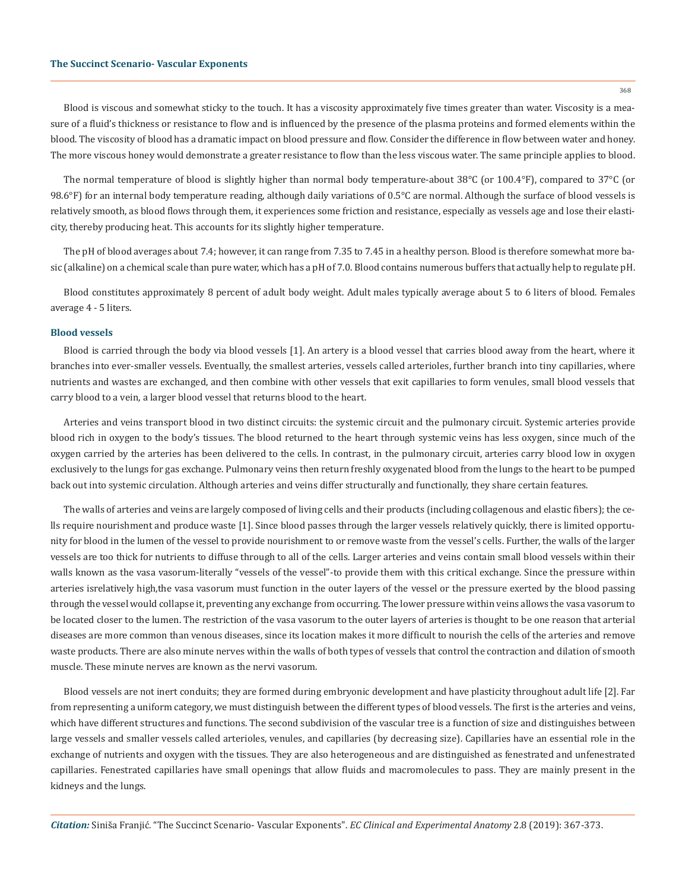Blood is viscous and somewhat sticky to the touch. It has a viscosity approximately five times greater than water. Viscosity is a measure of a fluid's thickness or resistance to flow and is influenced by the presence of the plasma proteins and formed elements within the blood. The viscosity of blood has a dramatic impact on blood pressure and flow. Consider the difference in flow between water and honey. The more viscous honey would demonstrate a greater resistance to flow than the less viscous water. The same principle applies to blood.

The normal temperature of blood is slightly higher than normal body temperature-about 38°C (or 100.4°F), compared to 37°C (or 98.6°F) for an internal body temperature reading, although daily variations of 0.5°C are normal. Although the surface of blood vessels is relatively smooth, as blood flows through them, it experiences some friction and resistance, especially as vessels age and lose their elasticity, thereby producing heat. This accounts for its slightly higher temperature.

The pH of blood averages about 7.4; however, it can range from 7.35 to 7.45 in a healthy person. Blood is therefore somewhat more basic (alkaline) on a chemical scale than pure water, which has a pH of 7.0. Blood contains numerous buffers that actually help to regulate pH.

Blood constitutes approximately 8 percent of adult body weight. Adult males typically average about 5 to 6 liters of blood. Females average 4 - 5 liters.

#### **Blood vessels**

Blood is carried through the body via blood vessels [1]. An artery is a blood vessel that carries blood away from the heart, where it branches into ever-smaller vessels. Eventually, the smallest arteries, vessels called arterioles, further branch into tiny capillaries, where nutrients and wastes are exchanged, and then combine with other vessels that exit capillaries to form venules, small blood vessels that carry blood to a vein, a larger blood vessel that returns blood to the heart.

Arteries and veins transport blood in two distinct circuits: the systemic circuit and the pulmonary circuit. Systemic arteries provide blood rich in oxygen to the body's tissues. The blood returned to the heart through systemic veins has less oxygen, since much of the oxygen carried by the arteries has been delivered to the cells. In contrast, in the pulmonary circuit, arteries carry blood low in oxygen exclusively to the lungs for gas exchange. Pulmonary veins then return freshly oxygenated blood from the lungs to the heart to be pumped back out into systemic circulation. Although arteries and veins differ structurally and functionally, they share certain features.

The walls of arteries and veins are largely composed of living cells and their products (including collagenous and elastic fibers); the cells require nourishment and produce waste [1]. Since blood passes through the larger vessels relatively quickly, there is limited opportunity for blood in the lumen of the vessel to provide nourishment to or remove waste from the vessel's cells. Further, the walls of the larger vessels are too thick for nutrients to diffuse through to all of the cells. Larger arteries and veins contain small blood vessels within their walls known as the vasa vasorum-literally "vessels of the vessel"-to provide them with this critical exchange. Since the pressure within arteries isrelatively high,the vasa vasorum must function in the outer layers of the vessel or the pressure exerted by the blood passing through the vessel would collapse it, preventing any exchange from occurring. The lower pressure within veins allows the vasa vasorum to be located closer to the lumen. The restriction of the vasa vasorum to the outer layers of arteries is thought to be one reason that arterial diseases are more common than venous diseases, since its location makes it more difficult to nourish the cells of the arteries and remove waste products. There are also minute nerves within the walls of both types of vessels that control the contraction and dilation of smooth muscle. These minute nerves are known as the nervi vasorum.

Blood vessels are not inert conduits; they are formed during embryonic development and have plasticity throughout adult life [2]. Far from representing a uniform category, we must distinguish between the different types of blood vessels. The first is the arteries and veins, which have different structures and functions. The second subdivision of the vascular tree is a function of size and distinguishes between large vessels and smaller vessels called arterioles, venules, and capillaries (by decreasing size). Capillaries have an essential role in the exchange of nutrients and oxygen with the tissues. They are also heterogeneous and are distinguished as fenestrated and unfenestrated capillaries. Fenestrated capillaries have small openings that allow fluids and macromolecules to pass. They are mainly present in the kidneys and the lungs.

368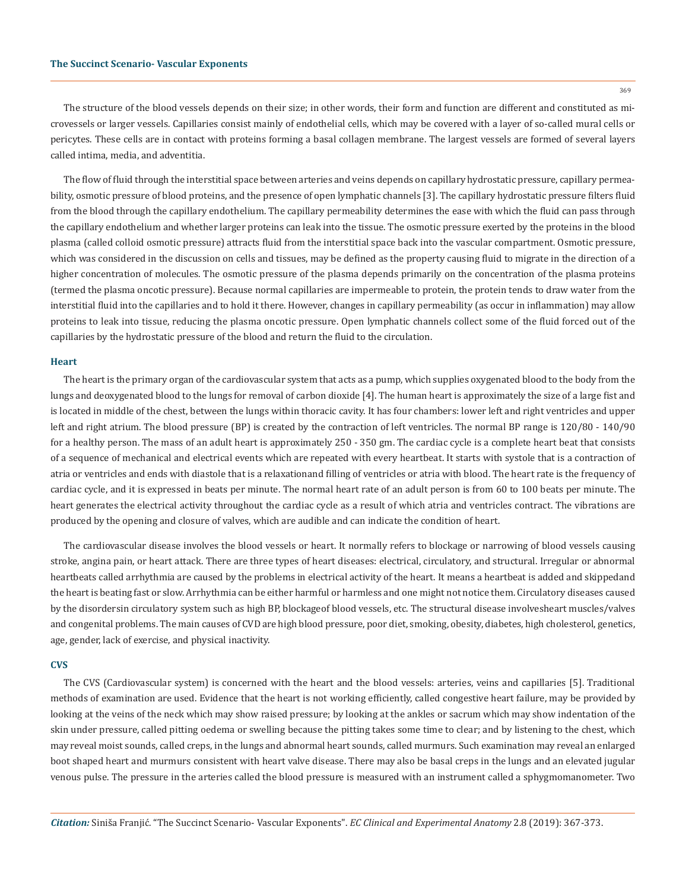The structure of the blood vessels depends on their size; in other words, their form and function are different and constituted as microvessels or larger vessels. Capillaries consist mainly of endothelial cells, which may be covered with a layer of so-called mural cells or pericytes. These cells are in contact with proteins forming a basal collagen membrane. The largest vessels are formed of several layers called intima, media, and adventitia.

The flow of fluid through the interstitial space between arteries and veins depends on capillary hydrostatic pressure, capillary permeability, osmotic pressure of blood proteins, and the presence of open lymphatic channels [3]. The capillary hydrostatic pressure filters fluid from the blood through the capillary endothelium. The capillary permeability determines the ease with which the fluid can pass through the capillary endothelium and whether larger proteins can leak into the tissue. The osmotic pressure exerted by the proteins in the blood plasma (called colloid osmotic pressure) attracts fluid from the interstitial space back into the vascular compartment. Osmotic pressure, which was considered in the discussion on cells and tissues, may be defined as the property causing fluid to migrate in the direction of a higher concentration of molecules. The osmotic pressure of the plasma depends primarily on the concentration of the plasma proteins (termed the plasma oncotic pressure). Because normal capillaries are impermeable to protein, the protein tends to draw water from the interstitial fluid into the capillaries and to hold it there. However, changes in capillary permeability (as occur in inflammation) may allow proteins to leak into tissue, reducing the plasma oncotic pressure. Open lymphatic channels collect some of the fluid forced out of the capillaries by the hydrostatic pressure of the blood and return the fluid to the circulation.

#### **Heart**

The heart is the primary organ of the cardiovascular system that acts as a pump, which supplies oxygenated blood to the body from the lungs and deoxygenated blood to the lungs for removal of carbon dioxide [4]. The human heart is approximately the size of a large fist and is located in middle of the chest, between the lungs within thoracic cavity. It has four chambers: lower left and right ventricles and upper left and right atrium. The blood pressure (BP) is created by the contraction of left ventricles. The normal BP range is 120/80 - 140/90 for a healthy person. The mass of an adult heart is approximately 250 - 350 gm. The cardiac cycle is a complete heart beat that consists of a sequence of mechanical and electrical events which are repeated with every heartbeat. It starts with systole that is a contraction of atria or ventricles and ends with diastole that is a relaxationand filling of ventricles or atria with blood. The heart rate is the frequency of cardiac cycle, and it is expressed in beats per minute. The normal heart rate of an adult person is from 60 to 100 beats per minute. The heart generates the electrical activity throughout the cardiac cycle as a result of which atria and ventricles contract. The vibrations are produced by the opening and closure of valves, which are audible and can indicate the condition of heart.

The cardiovascular disease involves the blood vessels or heart. It normally refers to blockage or narrowing of blood vessels causing stroke, angina pain, or heart attack. There are three types of heart diseases: electrical, circulatory, and structural. Irregular or abnormal heartbeats called arrhythmia are caused by the problems in electrical activity of the heart. It means a heartbeat is added and skippedand the heart is beating fast or slow. Arrhythmia can be either harmful or harmless and one might not notice them. Circulatory diseases caused by the disordersin circulatory system such as high BP, blockageof blood vessels, etc. The structural disease involvesheart muscles/valves and congenital problems. The main causes of CVD are high blood pressure, poor diet, smoking, obesity, diabetes, high cholesterol, genetics, age, gender, lack of exercise, and physical inactivity.

## **CVS**

The CVS (Cardiovascular system) is concerned with the heart and the blood vessels: arteries, veins and capillaries [5]. Traditional methods of examination are used. Evidence that the heart is not working efficiently, called congestive heart failure, may be provided by looking at the veins of the neck which may show raised pressure; by looking at the ankles or sacrum which may show indentation of the skin under pressure, called pitting oedema or swelling because the pitting takes some time to clear; and by listening to the chest, which may reveal moist sounds, called creps, in the lungs and abnormal heart sounds, called murmurs. Such examination may reveal an enlarged boot shaped heart and murmurs consistent with heart valve disease. There may also be basal creps in the lungs and an elevated jugular venous pulse. The pressure in the arteries called the blood pressure is measured with an instrument called a sphygmomanometer. Two

369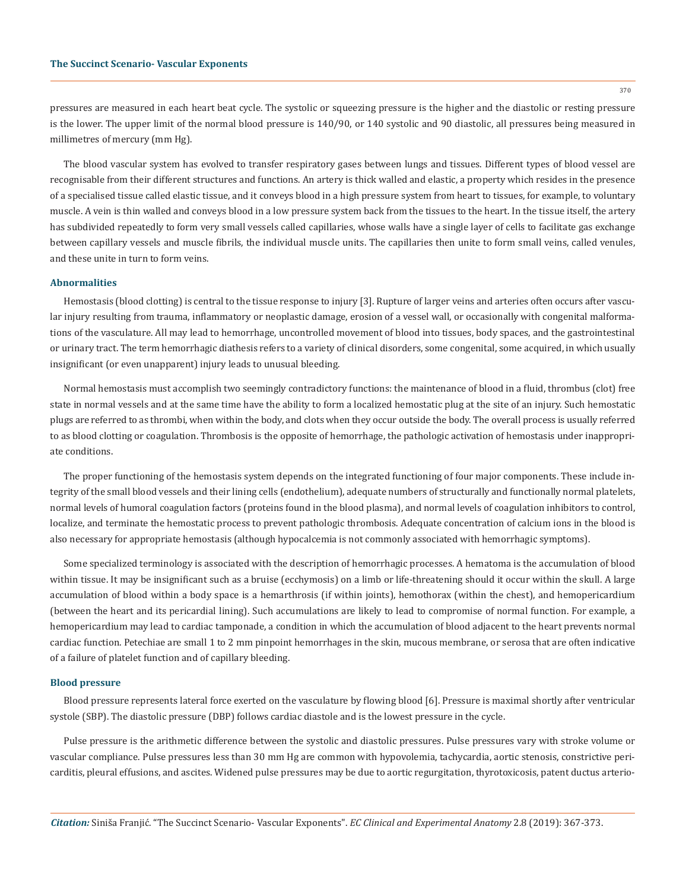pressures are measured in each heart beat cycle. The systolic or squeezing pressure is the higher and the diastolic or resting pressure is the lower. The upper limit of the normal blood pressure is 140/90, or 140 systolic and 90 diastolic, all pressures being measured in millimetres of mercury (mm Hg).

The blood vascular system has evolved to transfer respiratory gases between lungs and tissues. Different types of blood vessel are recognisable from their different structures and functions. An artery is thick walled and elastic, a property which resides in the presence of a specialised tissue called elastic tissue, and it conveys blood in a high pressure system from heart to tissues, for example, to voluntary muscle. A vein is thin walled and conveys blood in a low pressure system back from the tissues to the heart. In the tissue itself, the artery has subdivided repeatedly to form very small vessels called capillaries, whose walls have a single layer of cells to facilitate gas exchange between capillary vessels and muscle fibrils, the individual muscle units. The capillaries then unite to form small veins, called venules, and these unite in turn to form veins.

#### **Abnormalities**

Hemostasis (blood clotting) is central to the tissue response to injury [3]. Rupture of larger veins and arteries often occurs after vascular injury resulting from trauma, inflammatory or neoplastic damage, erosion of a vessel wall, or occasionally with congenital malformations of the vasculature. All may lead to hemorrhage, uncontrolled movement of blood into tissues, body spaces, and the gastrointestinal or urinary tract. The term hemorrhagic diathesis refers to a variety of clinical disorders, some congenital, some acquired, in which usually insignificant (or even unapparent) injury leads to unusual bleeding.

Normal hemostasis must accomplish two seemingly contradictory functions: the maintenance of blood in a fluid, thrombus (clot) free state in normal vessels and at the same time have the ability to form a localized hemostatic plug at the site of an injury. Such hemostatic plugs are referred to as thrombi, when within the body, and clots when they occur outside the body. The overall process is usually referred to as blood clotting or coagulation. Thrombosis is the opposite of hemorrhage, the pathologic activation of hemostasis under inappropriate conditions.

The proper functioning of the hemostasis system depends on the integrated functioning of four major components. These include integrity of the small blood vessels and their lining cells (endothelium), adequate numbers of structurally and functionally normal platelets, normal levels of humoral coagulation factors (proteins found in the blood plasma), and normal levels of coagulation inhibitors to control, localize, and terminate the hemostatic process to prevent pathologic thrombosis. Adequate concentration of calcium ions in the blood is also necessary for appropriate hemostasis (although hypocalcemia is not commonly associated with hemorrhagic symptoms).

Some specialized terminology is associated with the description of hemorrhagic processes. A hematoma is the accumulation of blood within tissue. It may be insignificant such as a bruise (ecchymosis) on a limb or life-threatening should it occur within the skull. A large accumulation of blood within a body space is a hemarthrosis (if within joints), hemothorax (within the chest), and hemopericardium (between the heart and its pericardial lining). Such accumulations are likely to lead to compromise of normal function. For example, a hemopericardium may lead to cardiac tamponade, a condition in which the accumulation of blood adjacent to the heart prevents normal cardiac function. Petechiae are small 1 to 2 mm pinpoint hemorrhages in the skin, mucous membrane, or serosa that are often indicative of a failure of platelet function and of capillary bleeding.

# **Blood pressure**

Blood pressure represents lateral force exerted on the vasculature by flowing blood [6]. Pressure is maximal shortly after ventricular systole (SBP). The diastolic pressure (DBP) follows cardiac diastole and is the lowest pressure in the cycle.

Pulse pressure is the arithmetic difference between the systolic and diastolic pressures. Pulse pressures vary with stroke volume or vascular compliance. Pulse pressures less than 30 mm Hg are common with hypovolemia, tachycardia, aortic stenosis, constrictive pericarditis, pleural effusions, and ascites. Widened pulse pressures may be due to aortic regurgitation, thyrotoxicosis, patent ductus arterio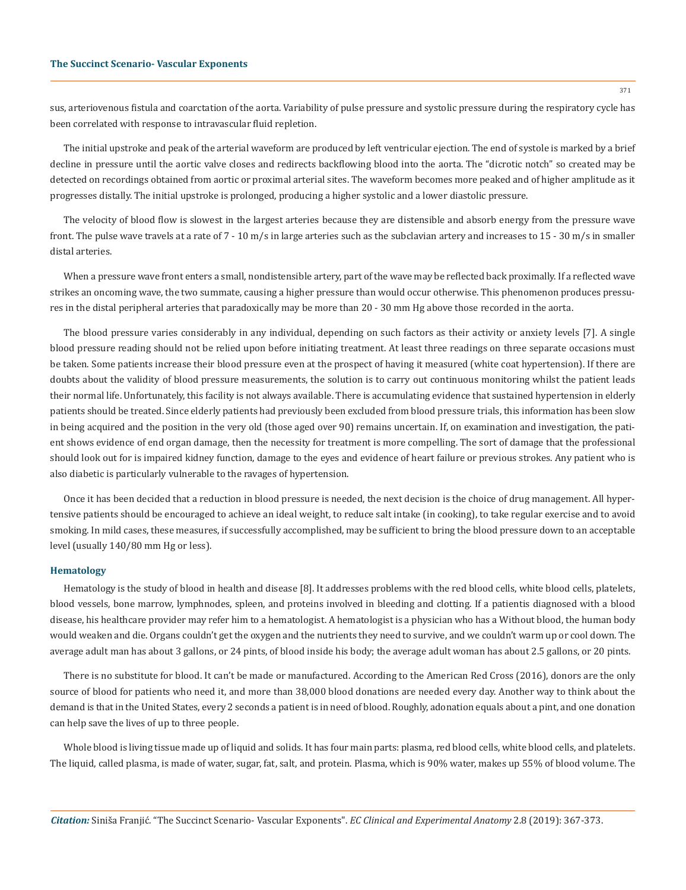sus, arteriovenous fistula and coarctation of the aorta. Variability of pulse pressure and systolic pressure during the respiratory cycle has been correlated with response to intravascular fluid repletion.

The initial upstroke and peak of the arterial waveform are produced by left ventricular ejection. The end of systole is marked by a brief decline in pressure until the aortic valve closes and redirects backflowing blood into the aorta. The "dicrotic notch" so created may be detected on recordings obtained from aortic or proximal arterial sites. The waveform becomes more peaked and of higher amplitude as it progresses distally. The initial upstroke is prolonged, producing a higher systolic and a lower diastolic pressure.

The velocity of blood flow is slowest in the largest arteries because they are distensible and absorb energy from the pressure wave front. The pulse wave travels at a rate of 7 - 10 m/s in large arteries such as the subclavian artery and increases to 15 - 30 m/s in smaller distal arteries.

When a pressure wave front enters a small, nondistensible artery, part of the wave may be reflected back proximally. If a reflected wave strikes an oncoming wave, the two summate, causing a higher pressure than would occur otherwise. This phenomenon produces pressures in the distal peripheral arteries that paradoxically may be more than 20 - 30 mm Hg above those recorded in the aorta.

The blood pressure varies considerably in any individual, depending on such factors as their activity or anxiety levels [7]. A single blood pressure reading should not be relied upon before initiating treatment. At least three readings on three separate occasions must be taken. Some patients increase their blood pressure even at the prospect of having it measured (white coat hypertension). If there are doubts about the validity of blood pressure measurements, the solution is to carry out continuous monitoring whilst the patient leads their normal life. Unfortunately, this facility is not always available. There is accumulating evidence that sustained hypertension in elderly patients should be treated. Since elderly patients had previously been excluded from blood pressure trials, this information has been slow in being acquired and the position in the very old (those aged over 90) remains uncertain. If, on examination and investigation, the patient shows evidence of end organ damage, then the necessity for treatment is more compelling. The sort of damage that the professional should look out for is impaired kidney function, damage to the eyes and evidence of heart failure or previous strokes. Any patient who is also diabetic is particularly vulnerable to the ravages of hypertension.

Once it has been decided that a reduction in blood pressure is needed, the next decision is the choice of drug management. All hypertensive patients should be encouraged to achieve an ideal weight, to reduce salt intake (in cooking), to take regular exercise and to avoid smoking. In mild cases, these measures, if successfully accomplished, may be sufficient to bring the blood pressure down to an acceptable level (usually 140/80 mm Hg or less).

#### **Hematology**

Hematology is the study of blood in health and disease [8]. It addresses problems with the red blood cells, white blood cells, platelets, blood vessels, bone marrow, lymphnodes, spleen, and proteins involved in bleeding and clotting. If a patientis diagnosed with a blood disease, his healthcare provider may refer him to a hematologist. A hematologist is a physician who has a Without blood, the human body would weaken and die. Organs couldn't get the oxygen and the nutrients they need to survive, and we couldn't warm up or cool down. The average adult man has about 3 gallons, or 24 pints, of blood inside his body; the average adult woman has about 2.5 gallons, or 20 pints.

There is no substitute for blood. It can't be made or manufactured. According to the American Red Cross (2016), donors are the only source of blood for patients who need it, and more than 38,000 blood donations are needed every day. Another way to think about the demand is that in the United States, every 2 seconds a patient is in need of blood. Roughly, adonation equals about a pint, and one donation can help save the lives of up to three people.

Whole blood is living tissue made up of liquid and solids. It has four main parts: plasma, red blood cells, white blood cells, and platelets. The liquid, called plasma, is made of water, sugar, fat, salt, and protein. Plasma, which is 90% water, makes up 55% of blood volume. The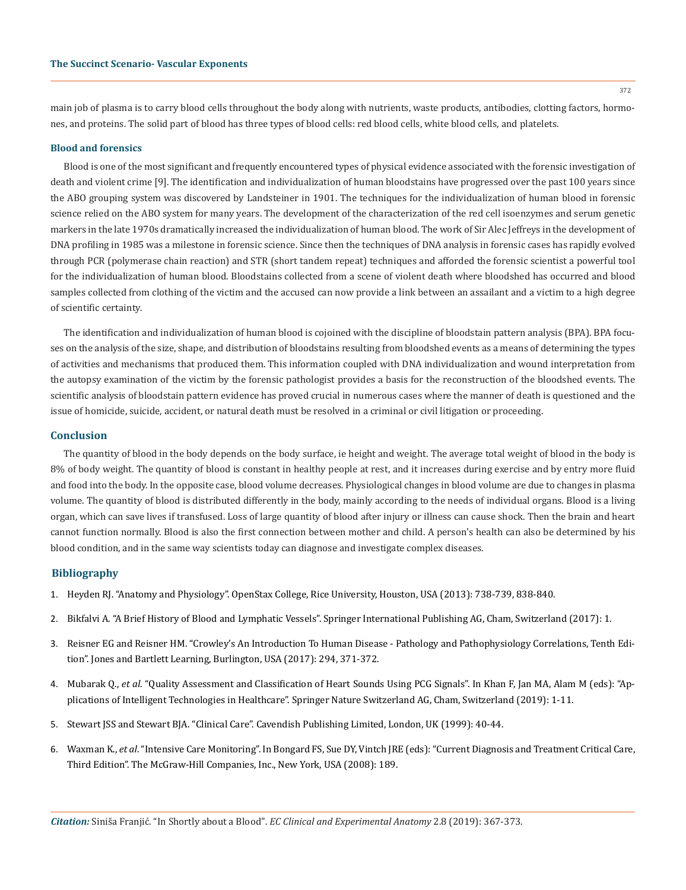main job of plasma is to carry blood cells throughout the body along with nutrients, waste products, antibodies, clotting factors, hormones, and proteins. The solid part of blood has three types of blood cells: red blood cells, white blood cells, and platelets.

#### **Blood and forensics**

Blood is one of the most significant and frequently encountered types of physical evidence associated with the forensic investigation of death and violent crime [9]. The identification and individualization of human bloodstains have progressed over the past 100 years since the ABO grouping system was discovered by Landsteiner in 1901. The techniques for the individualization of human blood in forensic science relied on the ABO system for many years. The development of the characterization of the red cell isoenzymes and serum genetic markers in the late 1970s dramatically increased the individualization of human blood. The work of Sir Alec Jeffreys in the development of DNA profiling in 1985 was a milestone in forensic science. Since then the techniques of DNA analysis in forensic cases has rapidly evolved through PCR (polymerase chain reaction) and STR (short tandem repeat) techniques and afforded the forensic scientist a powerful tool for the individualization of human blood. Bloodstains collected from a scene of violent death where bloodshed has occurred and blood samples collected from clothing of the victim and the accused can now provide a link between an assailant and a victim to a high degree of scientific certainty.

The identification and individualization of human blood is cojoined with the discipline of bloodstain pattern analysis (BPA). BPA focuses on the analysis of the size, shape, and distribution of bloodstains resulting from bloodshed events as a means of determining the types of activities and mechanisms that produced them. This information coupled with DNA individualization and wound interpretation from the autopsy examination of the victim by the forensic pathologist provides a basis for the reconstruction of the bloodshed events. The scientific analysis of bloodstain pattern evidence has proved crucial in numerous cases where the manner of death is questioned and the issue of homicide, suicide, accident, or natural death must be resolved in a criminal or civil litigation or proceeding.

#### **Conclusion**

The quantity of blood in the body depends on the body surface, ie height and weight. The average total weight of blood in the body is 8% of body weight. The quantity of blood is constant in healthy people at rest, and it increases during exercise and by entry more fluid and food into the body. In the opposite case, blood volume decreases. Physiological changes in blood volume are due to changes in plasma volume. The quantity of blood is distributed differently in the body, mainly according to the needs of individual organs. Blood is a living organ, which can save lives if transfused. Loss of large quantity of blood after injury or illness can cause shock. Then the brain and heart cannot function normally. Blood is also the first connection between mother and child. A person's health can also be determined by his blood condition, and in the same way scientists today can diagnose and investigate complex diseases.

## **Bibliography**

- 1. Heyden RJ. "Anatomy and Physiology". OpenStax College, Rice University, Houston, USA (2013): 738-739, 838-840.
- 2. [Bikfalvi A. "A Brief History of Blood and Lymphatic Vessels". Springer International Publishing AG, Cham, Switzerland \(2017\): 1.](https://link.springer.com/book/10.1007/978-3-319-74376-9)
- 3. Reisner EG and Reisner HM. "Crowley's An Introduction To Human Disease Pathology and Pathophysiology Correlations, Tenth Edition". Jones and Bartlett Learning, Burlington, USA (2017): 294, 371-372.
- 4. Mubarak Q., *et al*[. "Quality Assessment and Classification of Heart Sounds Using PCG Signals". In Khan F, Jan MA, Alam M \(eds\): "Ap](https://link.springer.com/chapter/10.1007/978-3-319-96139-2_1)[plications of Intelligent Technologies in Healthcare". Springer Nature Switzerland AG, Cham, Switzerland \(2019\): 1-11.](https://link.springer.com/chapter/10.1007/978-3-319-96139-2_1)
- 5. Stewart JSS and Stewart BJA. "Clinical Care". Cavendish Publishing Limited, London, UK (1999): 40-44.
- 6. Waxman K., *et al*. "Intensive Care Monitoring". In Bongard FS, Sue DY, Vintch JRE (eds): "Current Diagnosis and Treatment Critical Care, Third Edition". The McGraw-Hill Companies, Inc., New York, USA (2008): 189.